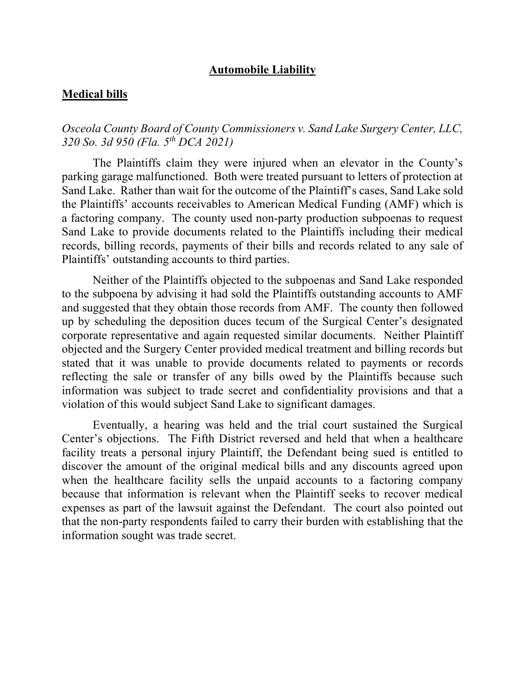#### **Automobile Liability**

#### **Medical bills**

*Osceola County Board of County Commissioners v. Sand Lake Surgery Center, LLC, 320 So. 3d 950 (Fla. 5th DCA 2021)*

The Plaintiffs claim they were injured when an elevator in the County's parking garage malfunctioned. Both were treated pursuant to letters of protection at Sand Lake. Rather than wait for the outcome of the Plaintiff's cases, Sand Lake sold the Plaintiffs' accounts receivables to American Medical Funding (AMF) which is a factoring company. The county used non-party production subpoenas to request Sand Lake to provide documents related to the Plaintiffs including their medical records, billing records, payments of their bills and records related to any sale of Plaintiffs' outstanding accounts to third parties.

Neither of the Plaintiffs objected to the subpoenas and Sand Lake responded to the subpoena by advising it had sold the Plaintiffs outstanding accounts to AMF and suggested that they obtain those records from AMF. The county then followed up by scheduling the deposition duces tecum of the Surgical Center's designated corporate representative and again requested similar documents. Neither Plaintiff objected and the Surgery Center provided medical treatment and billing records but stated that it was unable to provide documents related to payments or records reflecting the sale or transfer of any bills owed by the Plaintiffs because such information was subject to trade secret and confidentiality provisions and that a violation of this would subject Sand Lake to significant damages.

Eventually, a hearing was held and the trial court sustained the Surgical Center's objections. The Fifth District reversed and held that when a healthcare facility treats a personal injury Plaintiff, the Defendant being sued is entitled to discover the amount of the original medical bills and any discounts agreed upon when the healthcare facility sells the unpaid accounts to a factoring company because that information is relevant when the Plaintiff seeks to recover medical expenses as part of the lawsuit against the Defendant. The court also pointed out that the non-party respondents failed to carry their burden with establishing that the information sought was trade secret.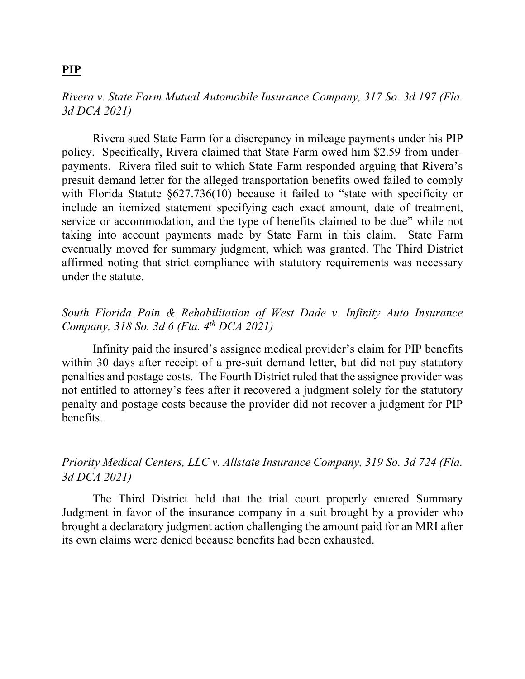# **PIP**

## *Rivera v. State Farm Mutual Automobile Insurance Company, 317 So. 3d 197 (Fla. 3d DCA 2021)*

Rivera sued State Farm for a discrepancy in mileage payments under his PIP policy. Specifically, Rivera claimed that State Farm owed him \$2.59 from underpayments. Rivera filed suit to which State Farm responded arguing that Rivera's presuit demand letter for the alleged transportation benefits owed failed to comply with Florida Statute §627.736(10) because it failed to "state with specificity or include an itemized statement specifying each exact amount, date of treatment, service or accommodation, and the type of benefits claimed to be due" while not taking into account payments made by State Farm in this claim. State Farm eventually moved for summary judgment, which was granted. The Third District affirmed noting that strict compliance with statutory requirements was necessary under the statute.

# *South Florida Pain & Rehabilitation of West Dade v. Infinity Auto Insurance Company, 318 So. 3d 6 (Fla. 4th DCA 2021)*

Infinity paid the insured's assignee medical provider's claim for PIP benefits within 30 days after receipt of a pre-suit demand letter, but did not pay statutory penalties and postage costs. The Fourth District ruled that the assignee provider was not entitled to attorney's fees after it recovered a judgment solely for the statutory penalty and postage costs because the provider did not recover a judgment for PIP benefits.

# *Priority Medical Centers, LLC v. Allstate Insurance Company, 319 So. 3d 724 (Fla. 3d DCA 2021)*

The Third District held that the trial court properly entered Summary Judgment in favor of the insurance company in a suit brought by a provider who brought a declaratory judgment action challenging the amount paid for an MRI after its own claims were denied because benefits had been exhausted.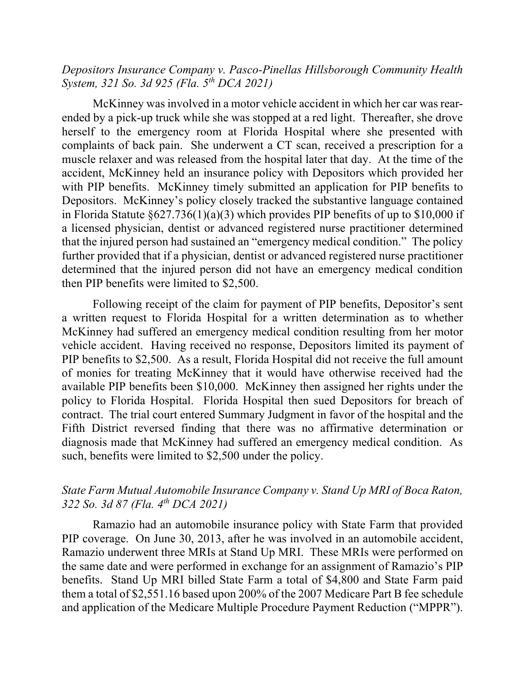*Depositors Insurance Company v. Pasco-Pinellas Hillsborough Community Health System, 321 So. 3d 925 (Fla. 5th DCA 2021)*

McKinney was involved in a motor vehicle accident in which her car was rearended by a pick-up truck while she was stopped at a red light. Thereafter, she drove herself to the emergency room at Florida Hospital where she presented with complaints of back pain. She underwent a CT scan, received a prescription for a muscle relaxer and was released from the hospital later that day. At the time of the accident, McKinney held an insurance policy with Depositors which provided her with PIP benefits. McKinney timely submitted an application for PIP benefits to Depositors. McKinney's policy closely tracked the substantive language contained in Florida Statute  $\S627.736(1)(a)(3)$  which provides PIP benefits of up to \$10,000 if a licensed physician, dentist or advanced registered nurse practitioner determined that the injured person had sustained an "emergency medical condition." The policy further provided that if a physician, dentist or advanced registered nurse practitioner determined that the injured person did not have an emergency medical condition then PIP benefits were limited to \$2,500.

Following receipt of the claim for payment of PIP benefits, Depositor's sent a written request to Florida Hospital for a written determination as to whether McKinney had suffered an emergency medical condition resulting from her motor vehicle accident. Having received no response, Depositors limited its payment of PIP benefits to \$2,500. As a result, Florida Hospital did not receive the full amount of monies for treating McKinney that it would have otherwise received had the available PIP benefits been \$10,000. McKinney then assigned her rights under the policy to Florida Hospital. Florida Hospital then sued Depositors for breach of contract. The trial court entered Summary Judgment in favor of the hospital and the Fifth District reversed finding that there was no affirmative determination or diagnosis made that McKinney had suffered an emergency medical condition. As such, benefits were limited to \$2,500 under the policy.

#### *State Farm Mutual Automobile Insurance Company v. Stand Up MRI of Boca Raton, 322 So. 3d 87 (Fla. 4th DCA 2021)*

Ramazio had an automobile insurance policy with State Farm that provided PIP coverage. On June 30, 2013, after he was involved in an automobile accident, Ramazio underwent three MRIs at Stand Up MRI. These MRIs were performed on the same date and were performed in exchange for an assignment of Ramazio's PIP benefits. Stand Up MRI billed State Farm a total of \$4,800 and State Farm paid them a total of \$2,551.16 based upon 200% of the 2007 Medicare Part B fee schedule and application of the Medicare Multiple Procedure Payment Reduction ("MPPR").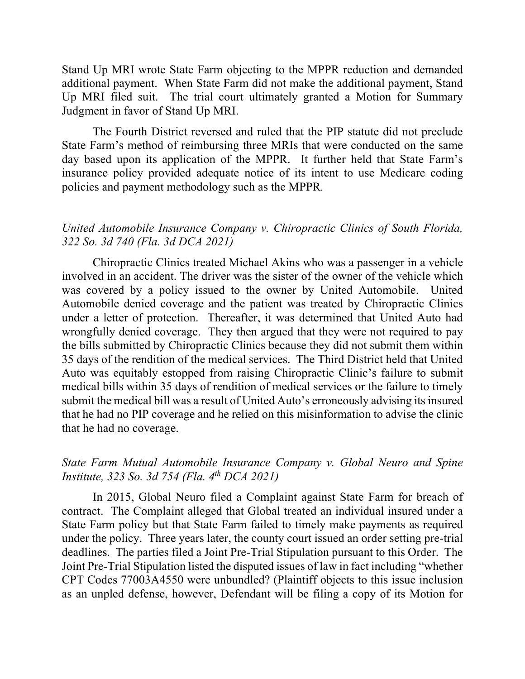Stand Up MRI wrote State Farm objecting to the MPPR reduction and demanded additional payment. When State Farm did not make the additional payment, Stand Up MRI filed suit. The trial court ultimately granted a Motion for Summary Judgment in favor of Stand Up MRI.

The Fourth District reversed and ruled that the PIP statute did not preclude State Farm's method of reimbursing three MRIs that were conducted on the same day based upon its application of the MPPR. It further held that State Farm's insurance policy provided adequate notice of its intent to use Medicare coding policies and payment methodology such as the MPPR*.*

### *United Automobile Insurance Company v. Chiropractic Clinics of South Florida, 322 So. 3d 740 (Fla. 3d DCA 2021)*

Chiropractic Clinics treated Michael Akins who was a passenger in a vehicle involved in an accident. The driver was the sister of the owner of the vehicle which was covered by a policy issued to the owner by United Automobile. United Automobile denied coverage and the patient was treated by Chiropractic Clinics under a letter of protection. Thereafter, it was determined that United Auto had wrongfully denied coverage. They then argued that they were not required to pay the bills submitted by Chiropractic Clinics because they did not submit them within 35 days of the rendition of the medical services. The Third District held that United Auto was equitably estopped from raising Chiropractic Clinic's failure to submit medical bills within 35 days of rendition of medical services or the failure to timely submit the medical bill was a result of United Auto's erroneously advising its insured that he had no PIP coverage and he relied on this misinformation to advise the clinic that he had no coverage.

## *State Farm Mutual Automobile Insurance Company v. Global Neuro and Spine Institute, 323 So. 3d 754 (Fla. 4th DCA 2021)*

In 2015, Global Neuro filed a Complaint against State Farm for breach of contract. The Complaint alleged that Global treated an individual insured under a State Farm policy but that State Farm failed to timely make payments as required under the policy. Three years later, the county court issued an order setting pre-trial deadlines. The parties filed a Joint Pre-Trial Stipulation pursuant to this Order. The Joint Pre-Trial Stipulation listed the disputed issues of law in fact including "whether CPT Codes 77003A4550 were unbundled? (Plaintiff objects to this issue inclusion as an unpled defense, however, Defendant will be filing a copy of its Motion for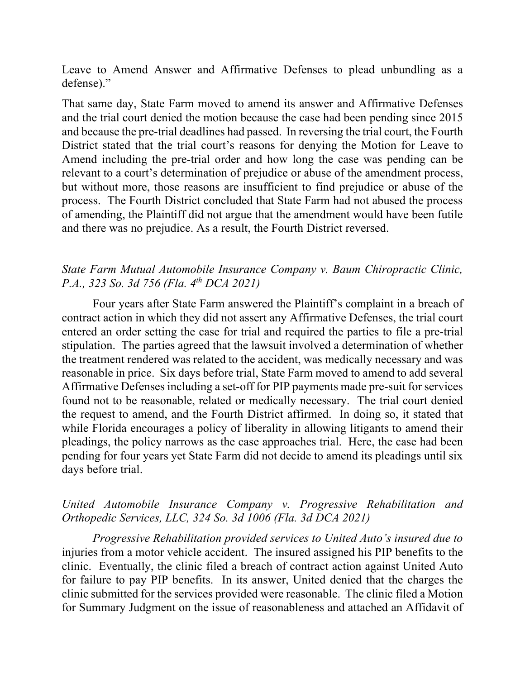Leave to Amend Answer and Affirmative Defenses to plead unbundling as a defense)."

That same day, State Farm moved to amend its answer and Affirmative Defenses and the trial court denied the motion because the case had been pending since 2015 and because the pre-trial deadlines had passed. In reversing the trial court, the Fourth District stated that the trial court's reasons for denying the Motion for Leave to Amend including the pre-trial order and how long the case was pending can be relevant to a court's determination of prejudice or abuse of the amendment process, but without more, those reasons are insufficient to find prejudice or abuse of the process. The Fourth District concluded that State Farm had not abused the process of amending, the Plaintiff did not argue that the amendment would have been futile and there was no prejudice. As a result, the Fourth District reversed.

# *State Farm Mutual Automobile Insurance Company v. Baum Chiropractic Clinic, P.A., 323 So. 3d 756 (Fla. 4th DCA 2021)*

Four years after State Farm answered the Plaintiff's complaint in a breach of contract action in which they did not assert any Affirmative Defenses, the trial court entered an order setting the case for trial and required the parties to file a pre-trial stipulation. The parties agreed that the lawsuit involved a determination of whether the treatment rendered was related to the accident, was medically necessary and was reasonable in price. Six days before trial, State Farm moved to amend to add several Affirmative Defenses including a set-off for PIP payments made pre-suit for services found not to be reasonable, related or medically necessary. The trial court denied the request to amend, and the Fourth District affirmed. In doing so, it stated that while Florida encourages a policy of liberality in allowing litigants to amend their pleadings, the policy narrows as the case approaches trial. Here, the case had been pending for four years yet State Farm did not decide to amend its pleadings until six days before trial.

## *United Automobile Insurance Company v. Progressive Rehabilitation and Orthopedic Services, LLC, 324 So. 3d 1006 (Fla. 3d DCA 2021)*

*Progressive Rehabilitation provided services to United Auto's insured due to*  injuries from a motor vehicle accident. The insured assigned his PIP benefits to the clinic. Eventually, the clinic filed a breach of contract action against United Auto for failure to pay PIP benefits. In its answer, United denied that the charges the clinic submitted for the services provided were reasonable. The clinic filed a Motion for Summary Judgment on the issue of reasonableness and attached an Affidavit of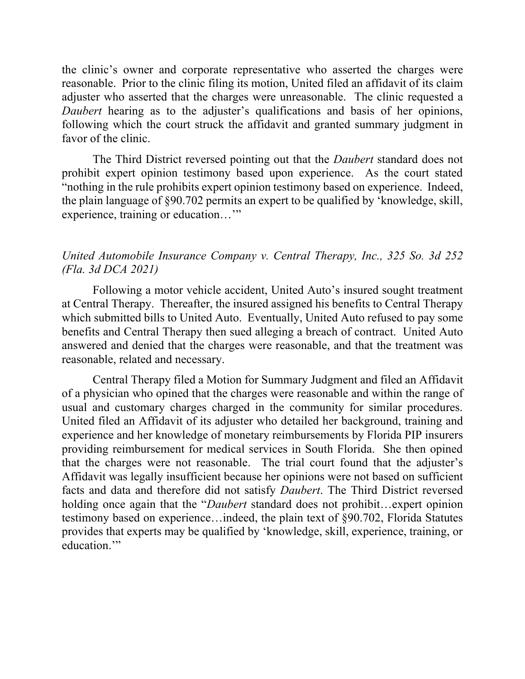the clinic's owner and corporate representative who asserted the charges were reasonable. Prior to the clinic filing its motion, United filed an affidavit of its claim adjuster who asserted that the charges were unreasonable. The clinic requested a *Daubert* hearing as to the adjuster's qualifications and basis of her opinions, following which the court struck the affidavit and granted summary judgment in favor of the clinic.

The Third District reversed pointing out that the *Daubert* standard does not prohibit expert opinion testimony based upon experience. As the court stated "nothing in the rule prohibits expert opinion testimony based on experience. Indeed, the plain language of §90.702 permits an expert to be qualified by 'knowledge, skill, experience, training or education…'"

### *United Automobile Insurance Company v. Central Therapy, Inc., 325 So. 3d 252 (Fla. 3d DCA 2021)*

Following a motor vehicle accident, United Auto's insured sought treatment at Central Therapy. Thereafter, the insured assigned his benefits to Central Therapy which submitted bills to United Auto. Eventually, United Auto refused to pay some benefits and Central Therapy then sued alleging a breach of contract. United Auto answered and denied that the charges were reasonable, and that the treatment was reasonable, related and necessary.

Central Therapy filed a Motion for Summary Judgment and filed an Affidavit of a physician who opined that the charges were reasonable and within the range of usual and customary charges charged in the community for similar procedures. United filed an Affidavit of its adjuster who detailed her background, training and experience and her knowledge of monetary reimbursements by Florida PIP insurers providing reimbursement for medical services in South Florida. She then opined that the charges were not reasonable. The trial court found that the adjuster's Affidavit was legally insufficient because her opinions were not based on sufficient facts and data and therefore did not satisfy *Daubert*. The Third District reversed holding once again that the "*Daubert* standard does not prohibit…expert opinion testimony based on experience…indeed, the plain text of §90.702, Florida Statutes provides that experts may be qualified by 'knowledge, skill, experience, training, or education."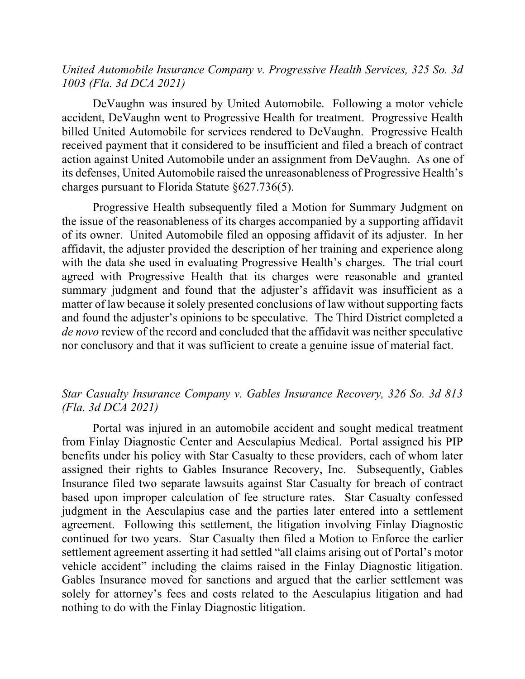#### *United Automobile Insurance Company v. Progressive Health Services, 325 So. 3d 1003 (Fla. 3d DCA 2021)*

DeVaughn was insured by United Automobile. Following a motor vehicle accident, DeVaughn went to Progressive Health for treatment. Progressive Health billed United Automobile for services rendered to DeVaughn. Progressive Health received payment that it considered to be insufficient and filed a breach of contract action against United Automobile under an assignment from DeVaughn. As one of its defenses, United Automobile raised the unreasonableness of Progressive Health's charges pursuant to Florida Statute §627.736(5).

Progressive Health subsequently filed a Motion for Summary Judgment on the issue of the reasonableness of its charges accompanied by a supporting affidavit of its owner. United Automobile filed an opposing affidavit of its adjuster. In her affidavit, the adjuster provided the description of her training and experience along with the data she used in evaluating Progressive Health's charges. The trial court agreed with Progressive Health that its charges were reasonable and granted summary judgment and found that the adjuster's affidavit was insufficient as a matter of law because it solely presented conclusions of law without supporting facts and found the adjuster's opinions to be speculative. The Third District completed a *de novo* review of the record and concluded that the affidavit was neither speculative nor conclusory and that it was sufficient to create a genuine issue of material fact.

# *Star Casualty Insurance Company v. Gables Insurance Recovery, 326 So. 3d 813 (Fla. 3d DCA 2021)*

Portal was injured in an automobile accident and sought medical treatment from Finlay Diagnostic Center and Aesculapius Medical. Portal assigned his PIP benefits under his policy with Star Casualty to these providers, each of whom later assigned their rights to Gables Insurance Recovery, Inc. Subsequently, Gables Insurance filed two separate lawsuits against Star Casualty for breach of contract based upon improper calculation of fee structure rates. Star Casualty confessed judgment in the Aesculapius case and the parties later entered into a settlement agreement. Following this settlement, the litigation involving Finlay Diagnostic continued for two years. Star Casualty then filed a Motion to Enforce the earlier settlement agreement asserting it had settled "all claims arising out of Portal's motor vehicle accident" including the claims raised in the Finlay Diagnostic litigation. Gables Insurance moved for sanctions and argued that the earlier settlement was solely for attorney's fees and costs related to the Aesculapius litigation and had nothing to do with the Finlay Diagnostic litigation.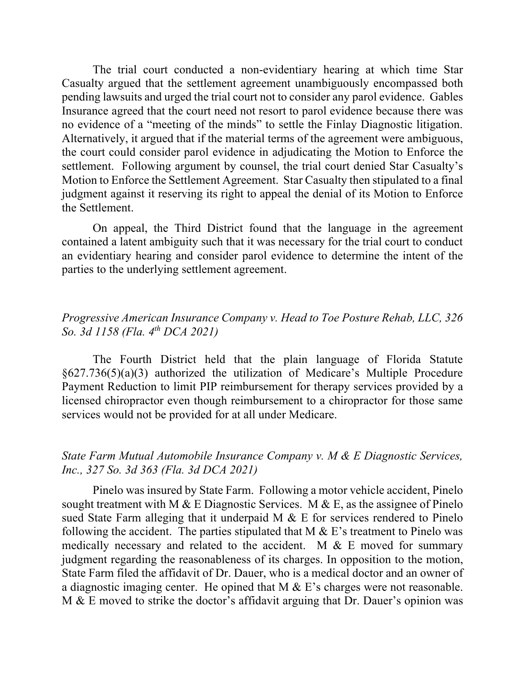The trial court conducted a non-evidentiary hearing at which time Star Casualty argued that the settlement agreement unambiguously encompassed both pending lawsuits and urged the trial court not to consider any parol evidence. Gables Insurance agreed that the court need not resort to parol evidence because there was no evidence of a "meeting of the minds" to settle the Finlay Diagnostic litigation. Alternatively, it argued that if the material terms of the agreement were ambiguous, the court could consider parol evidence in adjudicating the Motion to Enforce the settlement. Following argument by counsel, the trial court denied Star Casualty's Motion to Enforce the Settlement Agreement. Star Casualty then stipulated to a final judgment against it reserving its right to appeal the denial of its Motion to Enforce the Settlement.

On appeal, the Third District found that the language in the agreement contained a latent ambiguity such that it was necessary for the trial court to conduct an evidentiary hearing and consider parol evidence to determine the intent of the parties to the underlying settlement agreement.

# *Progressive American Insurance Company v. Head to Toe Posture Rehab, LLC, 326 So. 3d 1158 (Fla. 4th DCA 2021)*

The Fourth District held that the plain language of Florida Statute §627.736(5)(a)(3) authorized the utilization of Medicare's Multiple Procedure Payment Reduction to limit PIP reimbursement for therapy services provided by a licensed chiropractor even though reimbursement to a chiropractor for those same services would not be provided for at all under Medicare.

#### *State Farm Mutual Automobile Insurance Company v. M & E Diagnostic Services, Inc., 327 So. 3d 363 (Fla. 3d DCA 2021)*

Pinelo was insured by State Farm. Following a motor vehicle accident, Pinelo sought treatment with M & E Diagnostic Services. M & E, as the assignee of Pinelo sued State Farm alleging that it underpaid M & E for services rendered to Pinelo following the accident. The parties stipulated that  $M \& E$ 's treatment to Pinelo was medically necessary and related to the accident. M & E moved for summary judgment regarding the reasonableness of its charges. In opposition to the motion, State Farm filed the affidavit of Dr. Dauer, who is a medical doctor and an owner of a diagnostic imaging center. He opined that M & E's charges were not reasonable. M & E moved to strike the doctor's affidavit arguing that Dr. Dauer's opinion was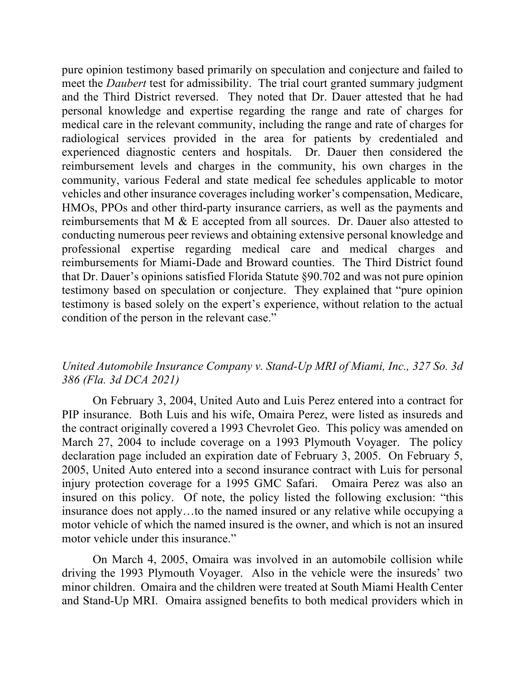pure opinion testimony based primarily on speculation and conjecture and failed to meet the *Daubert* test for admissibility. The trial court granted summary judgment and the Third District reversed. They noted that Dr. Dauer attested that he had personal knowledge and expertise regarding the range and rate of charges for medical care in the relevant community, including the range and rate of charges for radiological services provided in the area for patients by credentialed and experienced diagnostic centers and hospitals. Dr. Dauer then considered the reimbursement levels and charges in the community, his own charges in the community, various Federal and state medical fee schedules applicable to motor vehicles and other insurance coverages including worker's compensation, Medicare, HMOs, PPOs and other third-party insurance carriers, as well as the payments and reimbursements that M & E accepted from all sources. Dr. Dauer also attested to conducting numerous peer reviews and obtaining extensive personal knowledge and professional expertise regarding medical care and medical charges and reimbursements for Miami-Dade and Broward counties. The Third District found that Dr. Dauer's opinions satisfied Florida Statute §90.702 and was not pure opinion testimony based on speculation or conjecture. They explained that "pure opinion testimony is based solely on the expert's experience, without relation to the actual condition of the person in the relevant case."

# *United Automobile Insurance Company v. Stand-Up MRI of Miami, Inc., 327 So. 3d 386 (Fla. 3d DCA 2021)*

On February 3, 2004, United Auto and Luis Perez entered into a contract for PIP insurance. Both Luis and his wife, Omaira Perez, were listed as insureds and the contract originally covered a 1993 Chevrolet Geo. This policy was amended on March 27, 2004 to include coverage on a 1993 Plymouth Voyager. The policy declaration page included an expiration date of February 3, 2005. On February 5, 2005, United Auto entered into a second insurance contract with Luis for personal injury protection coverage for a 1995 GMC Safari. Omaira Perez was also an insured on this policy. Of note, the policy listed the following exclusion: "this insurance does not apply…to the named insured or any relative while occupying a motor vehicle of which the named insured is the owner, and which is not an insured motor vehicle under this insurance."

On March 4, 2005, Omaira was involved in an automobile collision while driving the 1993 Plymouth Voyager. Also in the vehicle were the insureds' two minor children. Omaira and the children were treated at South Miami Health Center and Stand-Up MRI. Omaira assigned benefits to both medical providers which in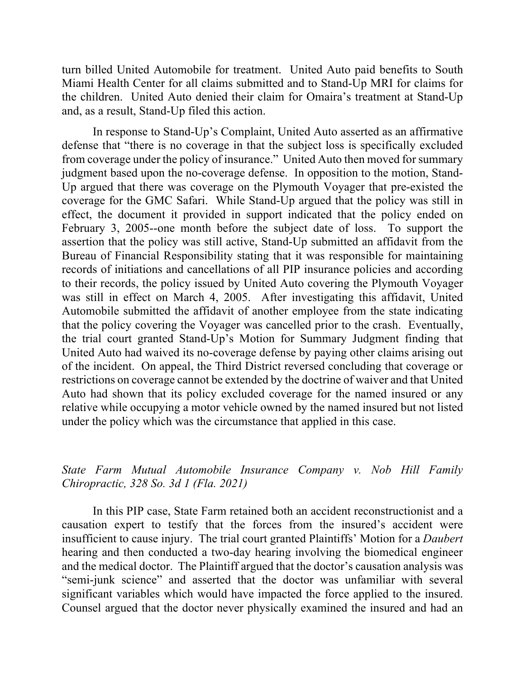turn billed United Automobile for treatment. United Auto paid benefits to South Miami Health Center for all claims submitted and to Stand-Up MRI for claims for the children. United Auto denied their claim for Omaira's treatment at Stand-Up and, as a result, Stand-Up filed this action.

In response to Stand-Up's Complaint, United Auto asserted as an affirmative defense that "there is no coverage in that the subject loss is specifically excluded from coverage under the policy of insurance." United Auto then moved for summary judgment based upon the no-coverage defense. In opposition to the motion, Stand-Up argued that there was coverage on the Plymouth Voyager that pre-existed the coverage for the GMC Safari. While Stand-Up argued that the policy was still in effect, the document it provided in support indicated that the policy ended on February 3, 2005--one month before the subject date of loss. To support the assertion that the policy was still active, Stand-Up submitted an affidavit from the Bureau of Financial Responsibility stating that it was responsible for maintaining records of initiations and cancellations of all PIP insurance policies and according to their records, the policy issued by United Auto covering the Plymouth Voyager was still in effect on March 4, 2005. After investigating this affidavit, United Automobile submitted the affidavit of another employee from the state indicating that the policy covering the Voyager was cancelled prior to the crash. Eventually, the trial court granted Stand-Up's Motion for Summary Judgment finding that United Auto had waived its no-coverage defense by paying other claims arising out of the incident. On appeal, the Third District reversed concluding that coverage or restrictions on coverage cannot be extended by the doctrine of waiver and that United Auto had shown that its policy excluded coverage for the named insured or any relative while occupying a motor vehicle owned by the named insured but not listed under the policy which was the circumstance that applied in this case.

# *State Farm Mutual Automobile Insurance Company v. Nob Hill Family Chiropractic, 328 So. 3d 1 (Fla. 2021)*

In this PIP case, State Farm retained both an accident reconstructionist and a causation expert to testify that the forces from the insured's accident were insufficient to cause injury. The trial court granted Plaintiffs' Motion for a *Daubert* hearing and then conducted a two-day hearing involving the biomedical engineer and the medical doctor. The Plaintiff argued that the doctor's causation analysis was "semi-junk science" and asserted that the doctor was unfamiliar with several significant variables which would have impacted the force applied to the insured. Counsel argued that the doctor never physically examined the insured and had an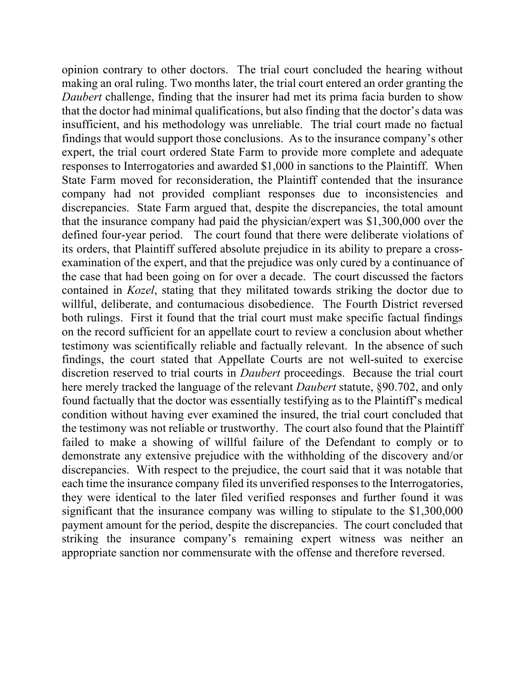opinion contrary to other doctors. The trial court concluded the hearing without making an oral ruling. Two months later, the trial court entered an order granting the *Daubert* challenge, finding that the insurer had met its prima facia burden to show that the doctor had minimal qualifications, but also finding that the doctor's data was insufficient, and his methodology was unreliable. The trial court made no factual findings that would support those conclusions. As to the insurance company's other expert, the trial court ordered State Farm to provide more complete and adequate responses to Interrogatories and awarded \$1,000 in sanctions to the Plaintiff. When State Farm moved for reconsideration, the Plaintiff contended that the insurance company had not provided compliant responses due to inconsistencies and discrepancies. State Farm argued that, despite the discrepancies, the total amount that the insurance company had paid the physician/expert was \$1,300,000 over the defined four-year period. The court found that there were deliberate violations of its orders, that Plaintiff suffered absolute prejudice in its ability to prepare a crossexamination of the expert, and that the prejudice was only cured by a continuance of the case that had been going on for over a decade. The court discussed the factors contained in *Kozel*, stating that they militated towards striking the doctor due to willful, deliberate, and contumacious disobedience. The Fourth District reversed both rulings. First it found that the trial court must make specific factual findings on the record sufficient for an appellate court to review a conclusion about whether testimony was scientifically reliable and factually relevant. In the absence of such findings, the court stated that Appellate Courts are not well-suited to exercise discretion reserved to trial courts in *Daubert* proceedings. Because the trial court here merely tracked the language of the relevant *Daubert* statute, §90.702, and only found factually that the doctor was essentially testifying as to the Plaintiff's medical condition without having ever examined the insured, the trial court concluded that the testimony was not reliable or trustworthy. The court also found that the Plaintiff failed to make a showing of willful failure of the Defendant to comply or to demonstrate any extensive prejudice with the withholding of the discovery and/or discrepancies. With respect to the prejudice, the court said that it was notable that each time the insurance company filed its unverified responses to the Interrogatories, they were identical to the later filed verified responses and further found it was significant that the insurance company was willing to stipulate to the \$1,300,000 payment amount for the period, despite the discrepancies. The court concluded that striking the insurance company's remaining expert witness was neither an appropriate sanction nor commensurate with the offense and therefore reversed.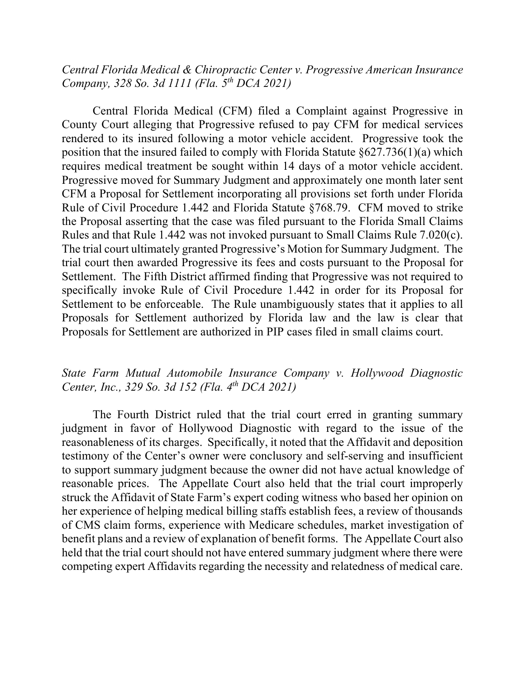#### *Central Florida Medical & Chiropractic Center v. Progressive American Insurance Company, 328 So. 3d 1111 (Fla. 5th DCA 2021)*

Central Florida Medical (CFM) filed a Complaint against Progressive in County Court alleging that Progressive refused to pay CFM for medical services rendered to its insured following a motor vehicle accident. Progressive took the position that the insured failed to comply with Florida Statute §627.736(1)(a) which requires medical treatment be sought within 14 days of a motor vehicle accident. Progressive moved for Summary Judgment and approximately one month later sent CFM a Proposal for Settlement incorporating all provisions set forth under Florida Rule of Civil Procedure 1.442 and Florida Statute §768.79. CFM moved to strike the Proposal asserting that the case was filed pursuant to the Florida Small Claims Rules and that Rule 1.442 was not invoked pursuant to Small Claims Rule 7.020(c). The trial court ultimately granted Progressive's Motion for Summary Judgment. The trial court then awarded Progressive its fees and costs pursuant to the Proposal for Settlement. The Fifth District affirmed finding that Progressive was not required to specifically invoke Rule of Civil Procedure 1.442 in order for its Proposal for Settlement to be enforceable. The Rule unambiguously states that it applies to all Proposals for Settlement authorized by Florida law and the law is clear that Proposals for Settlement are authorized in PIP cases filed in small claims court.

# *State Farm Mutual Automobile Insurance Company v. Hollywood Diagnostic Center, Inc., 329 So. 3d 152 (Fla. 4th DCA 2021)*

The Fourth District ruled that the trial court erred in granting summary judgment in favor of Hollywood Diagnostic with regard to the issue of the reasonableness of its charges. Specifically, it noted that the Affidavit and deposition testimony of the Center's owner were conclusory and self-serving and insufficient to support summary judgment because the owner did not have actual knowledge of reasonable prices. The Appellate Court also held that the trial court improperly struck the Affidavit of State Farm's expert coding witness who based her opinion on her experience of helping medical billing staffs establish fees, a review of thousands of CMS claim forms, experience with Medicare schedules, market investigation of benefit plans and a review of explanation of benefit forms. The Appellate Court also held that the trial court should not have entered summary judgment where there were competing expert Affidavits regarding the necessity and relatedness of medical care.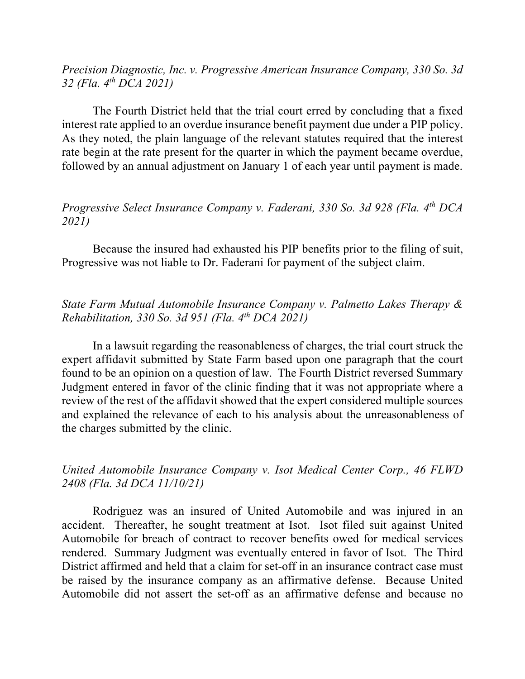*Precision Diagnostic, Inc. v. Progressive American Insurance Company, 330 So. 3d 32 (Fla. 4th DCA 2021)*

The Fourth District held that the trial court erred by concluding that a fixed interest rate applied to an overdue insurance benefit payment due under a PIP policy. As they noted, the plain language of the relevant statutes required that the interest rate begin at the rate present for the quarter in which the payment became overdue, followed by an annual adjustment on January 1 of each year until payment is made.

# *Progressive Select Insurance Company v. Faderani, 330 So. 3d 928 (Fla. 4th DCA 2021)*

Because the insured had exhausted his PIP benefits prior to the filing of suit, Progressive was not liable to Dr. Faderani for payment of the subject claim.

# *State Farm Mutual Automobile Insurance Company v. Palmetto Lakes Therapy & Rehabilitation, 330 So. 3d 951 (Fla. 4th DCA 2021)*

In a lawsuit regarding the reasonableness of charges, the trial court struck the expert affidavit submitted by State Farm based upon one paragraph that the court found to be an opinion on a question of law. The Fourth District reversed Summary Judgment entered in favor of the clinic finding that it was not appropriate where a review of the rest of the affidavit showed that the expert considered multiple sources and explained the relevance of each to his analysis about the unreasonableness of the charges submitted by the clinic.

# *United Automobile Insurance Company v. Isot Medical Center Corp., 46 FLWD 2408 (Fla. 3d DCA 11/10/21)*

Rodriguez was an insured of United Automobile and was injured in an accident. Thereafter, he sought treatment at Isot. Isot filed suit against United Automobile for breach of contract to recover benefits owed for medical services rendered. Summary Judgment was eventually entered in favor of Isot. The Third District affirmed and held that a claim for set-off in an insurance contract case must be raised by the insurance company as an affirmative defense. Because United Automobile did not assert the set-off as an affirmative defense and because no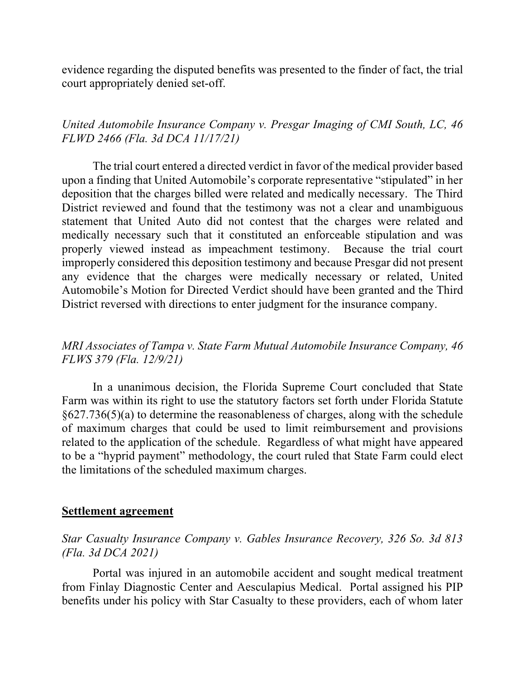evidence regarding the disputed benefits was presented to the finder of fact, the trial court appropriately denied set-off.

# *United Automobile Insurance Company v. Presgar Imaging of CMI South, LC, 46 FLWD 2466 (Fla. 3d DCA 11/17/21)*

The trial court entered a directed verdict in favor of the medical provider based upon a finding that United Automobile's corporate representative "stipulated" in her deposition that the charges billed were related and medically necessary. The Third District reviewed and found that the testimony was not a clear and unambiguous statement that United Auto did not contest that the charges were related and medically necessary such that it constituted an enforceable stipulation and was properly viewed instead as impeachment testimony. Because the trial court improperly considered this deposition testimony and because Presgar did not present any evidence that the charges were medically necessary or related, United Automobile's Motion for Directed Verdict should have been granted and the Third District reversed with directions to enter judgment for the insurance company.

# *MRI Associates of Tampa v. State Farm Mutual Automobile Insurance Company, 46 FLWS 379 (Fla. 12/9/21)*

In a unanimous decision, the Florida Supreme Court concluded that State Farm was within its right to use the statutory factors set forth under Florida Statute §627.736(5)(a) to determine the reasonableness of charges, along with the schedule of maximum charges that could be used to limit reimbursement and provisions related to the application of the schedule. Regardless of what might have appeared to be a "hyprid payment" methodology, the court ruled that State Farm could elect the limitations of the scheduled maximum charges.

#### **Settlement agreement**

#### *Star Casualty Insurance Company v. Gables Insurance Recovery, 326 So. 3d 813 (Fla. 3d DCA 2021)*

Portal was injured in an automobile accident and sought medical treatment from Finlay Diagnostic Center and Aesculapius Medical. Portal assigned his PIP benefits under his policy with Star Casualty to these providers, each of whom later